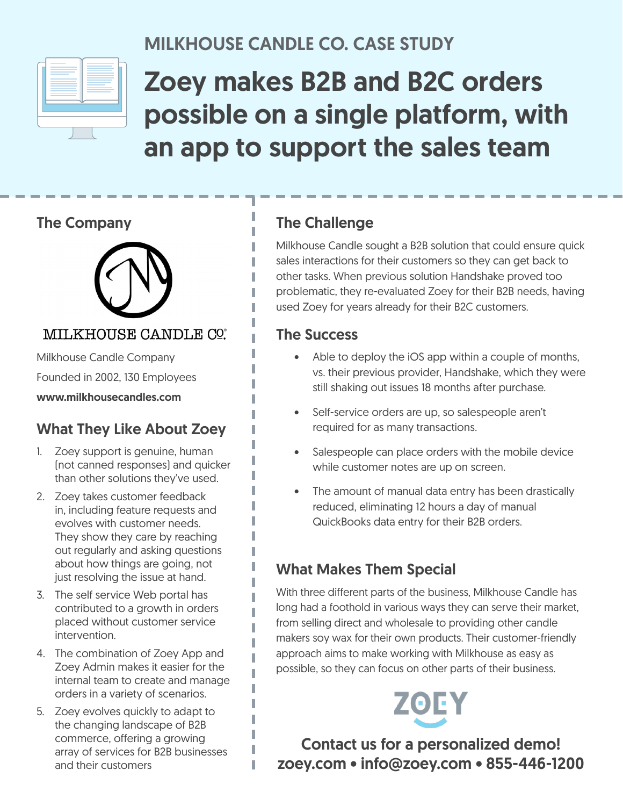

# MILKHOUSE CANDLE CO. CASE STUDY

# Zoey makes B2B and B2C orders possible on a single platform, with an app to support the sales team

### The Company



### MILKHOUSE CANDLE CO.

Milkhouse Candle Company Founded in 2002, 130 Employees

#### www.milkhousecandles.com

# What They Like About Zoey

- 1. Zoey support is genuine, human (not canned responses) and quicker than other solutions they've used.
- 2. Zoey takes customer feedback in, including feature requests and evolves with customer needs. They show they care by reaching out regularly and asking questions about how things are going, not just resolving the issue at hand.
- 3. The self service Web portal has contributed to a growth in orders placed without customer service intervention.
- 4. The combination of Zoey App and Zoey Admin makes it easier for the internal team to create and manage orders in a variety of scenarios.

I I

T

5. Zoey evolves quickly to adapt to the changing landscape of B2B commerce, offering a growing array of services for B2B businesses and their customers

# The Challenge

Milkhouse Candle sought a B2B solution that could ensure quick sales interactions for their customers so they can get back to other tasks. When previous solution Handshake proved too problematic, they re-evaluated Zoey for their B2B needs, having used Zoey for years already for their B2C customers.

#### The Success

- Able to deploy the iOS app within a couple of months, vs. their previous provider, Handshake, which they were still shaking out issues 18 months after purchase.
- Self-service orders are up, so salespeople aren't required for as many transactions.
- Salespeople can place orders with the mobile device while customer notes are up on screen.
- The amount of manual data entry has been drastically reduced, eliminating 12 hours a day of manual QuickBooks data entry for their B2B orders.

# What Makes Them Special

With three different parts of the business, Milkhouse Candle has long had a foothold in various ways they can serve their market, from selling direct and wholesale to providing other candle makers soy wax for their own products. Their customer-friendly approach aims to make working with Milkhouse as easy as possible, so they can focus on other parts of their business.

Contact us for a personalized demo! zoey.com • info@zoey.com • 855-446-1200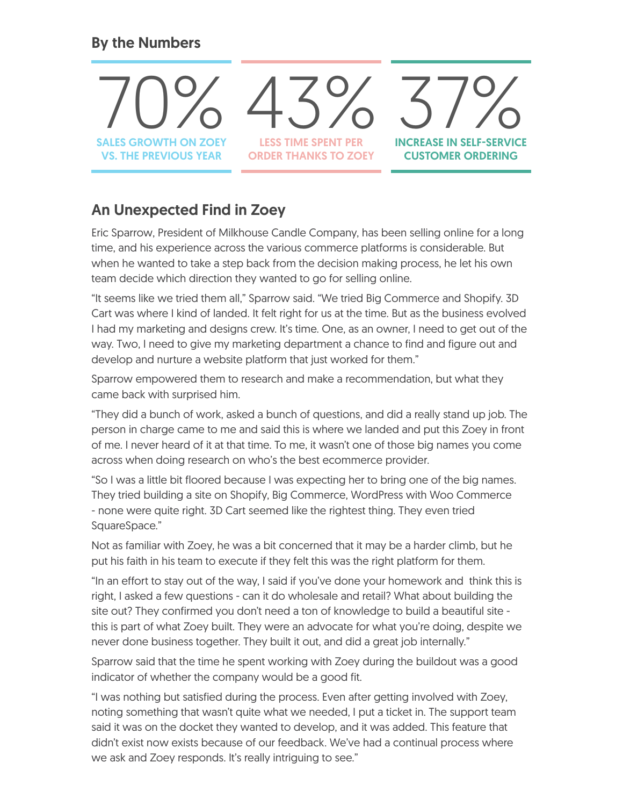### By the Numbers



# An Unexpected Find in Zoey

Eric Sparrow, President of Milkhouse Candle Company, has been selling online for a long time, and his experience across the various commerce platforms is considerable. But when he wanted to take a step back from the decision making process, he let his own team decide which direction they wanted to go for selling online.

"It seems like we tried them all," Sparrow said. "We tried Big Commerce and Shopify. 3D Cart was where I kind of landed. It felt right for us at the time. But as the business evolved I had my marketing and designs crew. It's time. One, as an owner, I need to get out of the way. Two, I need to give my marketing department a chance to find and figure out and develop and nurture a website platform that just worked for them."

Sparrow empowered them to research and make a recommendation, but what they came back with surprised him.

"They did a bunch of work, asked a bunch of questions, and did a really stand up job. The person in charge came to me and said this is where we landed and put this Zoey in front of me. I never heard of it at that time. To me, it wasn't one of those big names you come across when doing research on who's the best ecommerce provider.

"So I was a little bit floored because I was expecting her to bring one of the big names. They tried building a site on Shopify, Big Commerce, WordPress with Woo Commerce - none were quite right. 3D Cart seemed like the rightest thing. They even tried SquareSpace."

Not as familiar with Zoey, he was a bit concerned that it may be a harder climb, but he put his faith in his team to execute if they felt this was the right platform for them.

"In an effort to stay out of the way, I said if you've done your homework and think this is right, I asked a few questions - can it do wholesale and retail? What about building the site out? They confirmed you don't need a ton of knowledge to build a beautiful site this is part of what Zoey built. They were an advocate for what you're doing, despite we never done business together. They built it out, and did a great job internally."

Sparrow said that the time he spent working with Zoey during the buildout was a good indicator of whether the company would be a good fit.

"I was nothing but satisfied during the process. Even after getting involved with Zoey, noting something that wasn't quite what we needed, I put a ticket in. The support team said it was on the docket they wanted to develop, and it was added. This feature that didn't exist now exists because of our feedback. We've had a continual process where we ask and Zoey responds. It's really intriguing to see."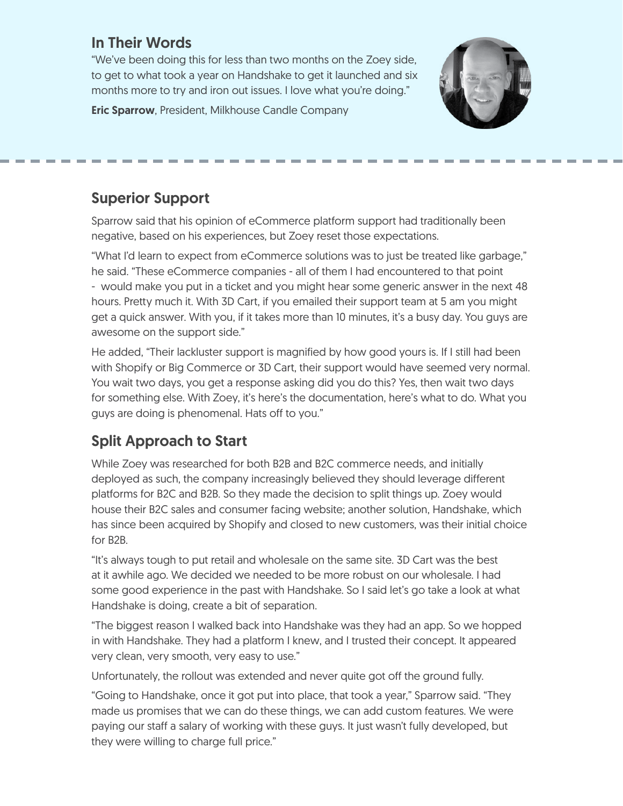# In Their Words

"We've been doing this for less than two months on the Zoey side, to get to what took a year on Handshake to get it launched and six months more to try and iron out issues. I love what you're doing."

**Eric Sparrow, President, Milkhouse Candle Company** 



# Superior Support

Sparrow said that his opinion of eCommerce platform support had traditionally been negative, based on his experiences, but Zoey reset those expectations.

"What I'd learn to expect from eCommerce solutions was to just be treated like garbage," he said. "These eCommerce companies - all of them I had encountered to that point - would make you put in a ticket and you might hear some generic answer in the next 48 hours. Pretty much it. With 3D Cart, if you emailed their support team at 5 am you might get a quick answer. With you, if it takes more than 10 minutes, it's a busy day. You guys are awesome on the support side."

He added, "Their lackluster support is magnified by how good yours is. If I still had been with Shopify or Big Commerce or 3D Cart, their support would have seemed very normal. You wait two days, you get a response asking did you do this? Yes, then wait two days for something else. With Zoey, it's here's the documentation, here's what to do. What you guys are doing is phenomenal. Hats off to you."

# Split Approach to Start

While Zoey was researched for both B2B and B2C commerce needs, and initially deployed as such, the company increasingly believed they should leverage different platforms for B2C and B2B. So they made the decision to split things up. Zoey would house their B2C sales and consumer facing website; another solution, Handshake, which has since been acquired by Shopify and closed to new customers, was their initial choice for B2B.

"It's always tough to put retail and wholesale on the same site. 3D Cart was the best at it awhile ago. We decided we needed to be more robust on our wholesale. I had some good experience in the past with Handshake. So I said let's go take a look at what Handshake is doing, create a bit of separation.

"The biggest reason I walked back into Handshake was they had an app. So we hopped in with Handshake. They had a platform I knew, and I trusted their concept. It appeared very clean, very smooth, very easy to use."

Unfortunately, the rollout was extended and never quite got off the ground fully.

"Going to Handshake, once it got put into place, that took a year," Sparrow said. "They made us promises that we can do these things, we can add custom features. We were paying our staff a salary of working with these guys. It just wasn't fully developed, but they were willing to charge full price."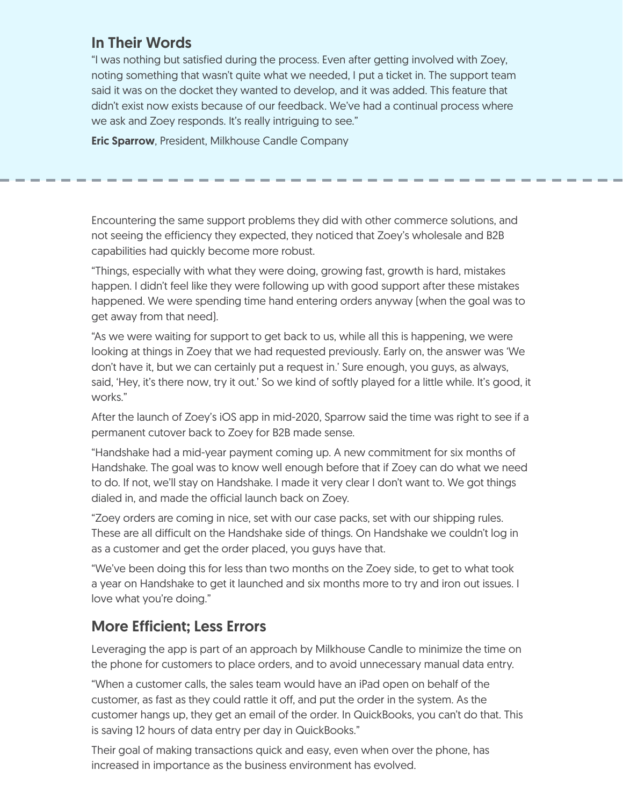# In Their Words

"I was nothing but satisfied during the process. Even after getting involved with Zoey, noting something that wasn't quite what we needed, I put a ticket in. The support team said it was on the docket they wanted to develop, and it was added. This feature that didn't exist now exists because of our feedback. We've had a continual process where we ask and Zoey responds. It's really intriguing to see."

Eric Sparrow, President, Milkhouse Candle Company

Encountering the same support problems they did with other commerce solutions, and not seeing the efficiency they expected, they noticed that Zoey's wholesale and B2B capabilities had quickly become more robust.

"Things, especially with what they were doing, growing fast, growth is hard, mistakes happen. I didn't feel like they were following up with good support after these mistakes happened. We were spending time hand entering orders anyway (when the goal was to get away from that need).

"As we were waiting for support to get back to us, while all this is happening, we were looking at things in Zoey that we had requested previously. Early on, the answer was 'We don't have it, but we can certainly put a request in.' Sure enough, you guys, as always, said, 'Hey, it's there now, try it out.' So we kind of softly played for a little while. It's good, it works."

After the launch of Zoey's iOS app in mid-2020, Sparrow said the time was right to see if a permanent cutover back to Zoey for B2B made sense.

"Handshake had a mid-year payment coming up. A new commitment for six months of Handshake. The goal was to know well enough before that if Zoey can do what we need to do. If not, we'll stay on Handshake. I made it very clear I don't want to. We got things dialed in, and made the official launch back on Zoey.

"Zoey orders are coming in nice, set with our case packs, set with our shipping rules. These are all difficult on the Handshake side of things. On Handshake we couldn't log in as a customer and get the order placed, you guys have that.

"We've been doing this for less than two months on the Zoey side, to get to what took a year on Handshake to get it launched and six months more to try and iron out issues. I love what you're doing."

## More Efficient; Less Errors

Leveraging the app is part of an approach by Milkhouse Candle to minimize the time on the phone for customers to place orders, and to avoid unnecessary manual data entry.

"When a customer calls, the sales team would have an iPad open on behalf of the customer, as fast as they could rattle it off, and put the order in the system. As the customer hangs up, they get an email of the order. In QuickBooks, you can't do that. This is saving 12 hours of data entry per day in QuickBooks."

Their goal of making transactions quick and easy, even when over the phone, has increased in importance as the business environment has evolved.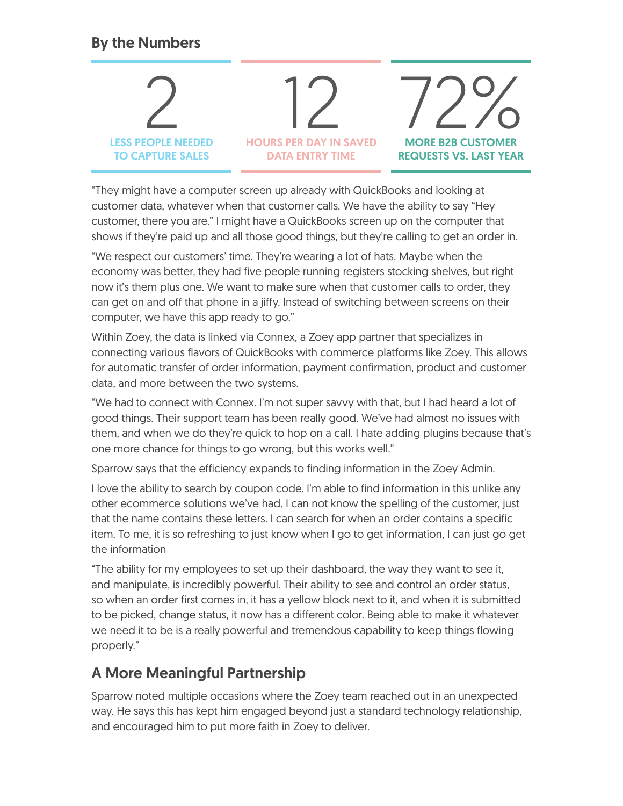# By the Numbers



"They might have a computer screen up already with QuickBooks and looking at customer data, whatever when that customer calls. We have the ability to say "Hey customer, there you are." I might have a QuickBooks screen up on the computer that shows if they're paid up and all those good things, but they're calling to get an order in.

"We respect our customers' time. They're wearing a lot of hats. Maybe when the economy was better, they had five people running registers stocking shelves, but right now it's them plus one. We want to make sure when that customer calls to order, they can get on and off that phone in a jiffy. Instead of switching between screens on their computer, we have this app ready to go."

Within Zoey, the data is linked via Connex, a Zoey app partner that specializes in connecting various flavors of QuickBooks with commerce platforms like Zoey. This allows for automatic transfer of order information, payment confirmation, product and customer data, and more between the two systems.

"We had to connect with Connex. I'm not super savvy with that, but I had heard a lot of good things. Their support team has been really good. We've had almost no issues with them, and when we do they're quick to hop on a call. I hate adding plugins because that's one more chance for things to go wrong, but this works well."

Sparrow says that the efficiency expands to finding information in the Zoey Admin.

I love the ability to search by coupon code. I'm able to find information in this unlike any other ecommerce solutions we've had. I can not know the spelling of the customer, just that the name contains these letters. I can search for when an order contains a specific item. To me, it is so refreshing to just know when I go to get information, I can just go get the information

"The ability for my employees to set up their dashboard, the way they want to see it, and manipulate, is incredibly powerful. Their ability to see and control an order status, so when an order first comes in, it has a yellow block next to it, and when it is submitted to be picked, change status, it now has a different color. Being able to make it whatever we need it to be is a really powerful and tremendous capability to keep things flowing properly."

# A More Meaningful Partnership

Sparrow noted multiple occasions where the Zoey team reached out in an unexpected way. He says this has kept him engaged beyond just a standard technology relationship, and encouraged him to put more faith in Zoey to deliver.